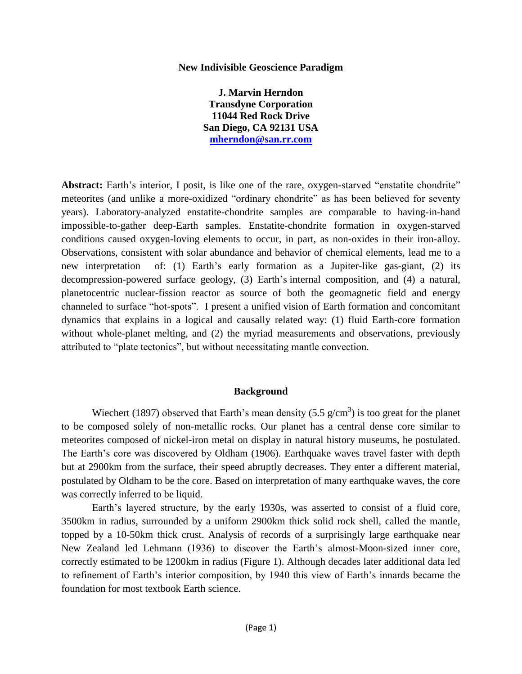#### **New Indivisible Geoscience Paradigm**

**J. Marvin Herndon Transdyne Corporation 11044 Red Rock Drive San Diego, CA 92131 USA [mherndon@san.rr.com](mailto:mherndon@san.rr.com)**

Abstract: Earth's interior, I posit, is like one of the rare, oxygen-starved "enstatite chondrite" meteorites (and unlike a more-oxidized "ordinary chondrite" as has been believed for seventy years). Laboratory-analyzed enstatite-chondrite samples are comparable to having-in-hand impossible-to-gather deep-Earth samples. Enstatite-chondrite formation in oxygen-starved conditions caused oxygen-loving elements to occur, in part, as non-oxides in their iron-alloy. Observations, consistent with solar abundance and behavior of chemical elements, lead me to a new interpretation of: (1) Earth's early formation as a Jupiter-like gas-giant, (2) its decompression-powered surface geology, (3) Earth"s internal composition, and (4) a natural, planetocentric nuclear-fission reactor as source of both the geomagnetic field and energy channeled to surface "hot-spots". I present a unified vision of Earth formation and concomitant dynamics that explains in a logical and causally related way: (1) fluid Earth-core formation without whole-planet melting, and (2) the myriad measurements and observations, previously attributed to "plate tectonics", but without necessitating mantle convection.

#### **Background**

Wiechert (1897) observed that Earth's mean density (5.5  $g/cm<sup>3</sup>$ ) is too great for the planet to be composed solely of non-metallic rocks. Our planet has a central dense core similar to meteorites composed of nickel-iron metal on display in natural history museums, he postulated. The Earth's core was discovered by Oldham (1906). Earthquake waves travel faster with depth but at 2900km from the surface, their speed abruptly decreases. They enter a different material, postulated by Oldham to be the core. Based on interpretation of many earthquake waves, the core was correctly inferred to be liquid.

Earth"s layered structure, by the early 1930s, was asserted to consist of a fluid core, 3500km in radius, surrounded by a uniform 2900km thick solid rock shell, called the mantle, topped by a 10-50km thick crust. Analysis of records of a surprisingly large earthquake near New Zealand led Lehmann (1936) to discover the Earth"s almost-Moon-sized inner core, correctly estimated to be 1200km in radius (Figure 1). Although decades later additional data led to refinement of Earth"s interior composition, by 1940 this view of Earth"s innards became the foundation for most textbook Earth science.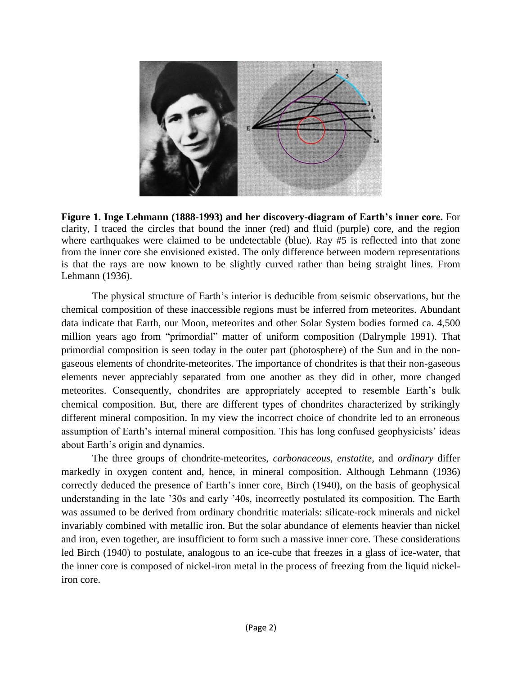

**Figure 1. Inge Lehmann (1888-1993) and her discovery-diagram of Earth's inner core.** For clarity, I traced the circles that bound the inner (red) and fluid (purple) core, and the region where earthquakes were claimed to be undetectable (blue). Ray #5 is reflected into that zone from the inner core she envisioned existed. The only difference between modern representations is that the rays are now known to be slightly curved rather than being straight lines. From Lehmann (1936).

The physical structure of Earth"s interior is deducible from seismic observations, but the chemical composition of these inaccessible regions must be inferred from meteorites. Abundant data indicate that Earth, our Moon, meteorites and other Solar System bodies formed ca. 4,500 million years ago from "primordial" matter of uniform composition (Dalrymple 1991). That primordial composition is seen today in the outer part (photosphere) of the Sun and in the nongaseous elements of chondrite-meteorites. The importance of chondrites is that their non-gaseous elements never appreciably separated from one another as they did in other, more changed meteorites. Consequently, chondrites are appropriately accepted to resemble Earth"s bulk chemical composition. But, there are different types of chondrites characterized by strikingly different mineral composition. In my view the incorrect choice of chondrite led to an erroneous assumption of Earth's internal mineral composition. This has long confused geophysicists' ideas about Earth's origin and dynamics.

The three groups of chondrite-meteorites, *carbonaceous*, *enstatite*, and *ordinary* differ markedly in oxygen content and, hence, in mineral composition. Although Lehmann (1936) correctly deduced the presence of Earth's inner core, Birch (1940), on the basis of geophysical understanding in the late "30s and early "40s, incorrectly postulated its composition. The Earth was assumed to be derived from ordinary chondritic materials: silicate-rock minerals and nickel invariably combined with metallic iron. But the solar abundance of elements heavier than nickel and iron, even together, are insufficient to form such a massive inner core. These considerations led Birch (1940) to postulate, analogous to an ice-cube that freezes in a glass of ice-water, that the inner core is composed of nickel-iron metal in the process of freezing from the liquid nickeliron core.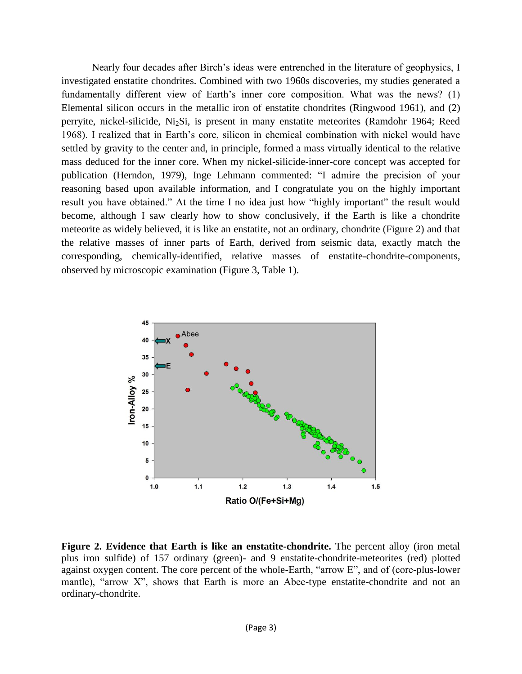Nearly four decades after Birch"s ideas were entrenched in the literature of geophysics, I investigated enstatite chondrites. Combined with two 1960s discoveries, my studies generated a fundamentally different view of Earth's inner core composition. What was the news? (1) Elemental silicon occurs in the metallic iron of enstatite chondrites (Ringwood 1961), and (2) perryite, nickel-silicide, Ni2Si, is present in many enstatite meteorites (Ramdohr 1964; Reed 1968). I realized that in Earth"s core, silicon in chemical combination with nickel would have settled by gravity to the center and, in principle, formed a mass virtually identical to the relative mass deduced for the inner core. When my nickel-silicide-inner-core concept was accepted for publication (Herndon, 1979), Inge Lehmann commented: "I admire the precision of your reasoning based upon available information, and I congratulate you on the highly important result you have obtained." At the time I no idea just how "highly important" the result would become, although I saw clearly how to show conclusively, if the Earth is like a chondrite meteorite as widely believed, it is like an enstatite, not an ordinary, chondrite (Figure 2) and that the relative masses of inner parts of Earth, derived from seismic data, exactly match the corresponding, chemically-identified, relative masses of enstatite-chondrite-components, observed by microscopic examination (Figure 3, Table 1).



**Figure 2. Evidence that Earth is like an enstatite-chondrite.** The percent alloy (iron metal plus iron sulfide) of 157 ordinary (green)- and 9 enstatite-chondrite-meteorites (red) plotted against oxygen content. The core percent of the whole-Earth, "arrow E", and of (core-plus-lower mantle), "arrow  $X$ ", shows that Earth is more an Abee-type enstatite-chondrite and not an ordinary-chondrite.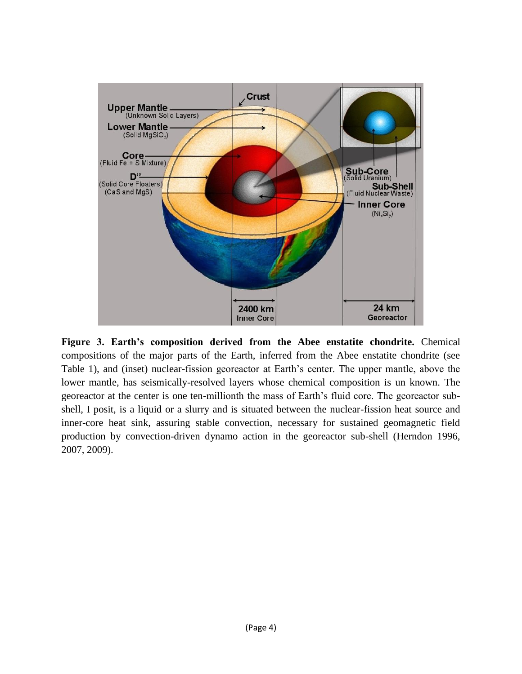

**Figure 3. Earth's composition derived from the Abee enstatite chondrite.** Chemical compositions of the major parts of the Earth, inferred from the Abee enstatite chondrite (see Table 1), and (inset) nuclear-fission georeactor at Earth"s center. The upper mantle, above the lower mantle, has seismically-resolved layers whose chemical composition is un known. The georeactor at the center is one ten-millionth the mass of Earth"s fluid core. The georeactor subshell, I posit, is a liquid or a slurry and is situated between the nuclear-fission heat source and inner-core heat sink, assuring stable convection, necessary for sustained geomagnetic field production by convection-driven dynamo action in the georeactor sub-shell (Herndon 1996, 2007, 2009).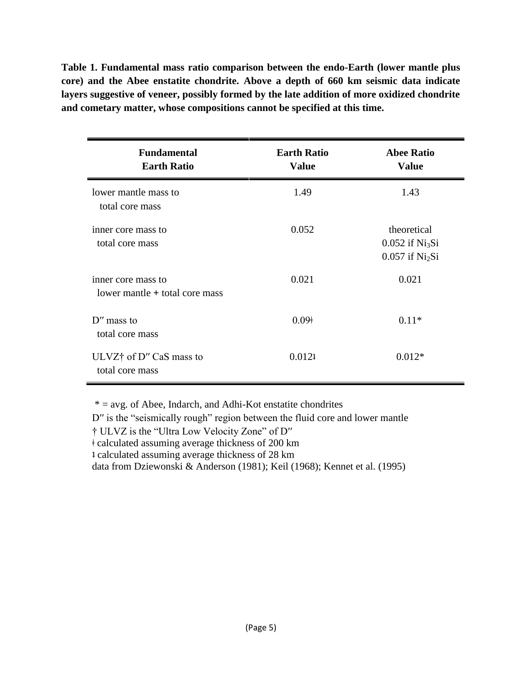**Table 1. Fundamental mass ratio comparison between the endo-Earth (lower mantle plus core) and the Abee enstatite chondrite. Above a depth of 660 km seismic data indicate layers suggestive of veneer, possibly formed by the late addition of more oxidized chondrite and cometary matter, whose compositions cannot be specified at this time.**

| <b>Fundamental</b><br><b>Earth Ratio</b>             | <b>Earth Ratio</b><br><b>Value</b> | <b>Abee Ratio</b><br><b>Value</b>                                             |
|------------------------------------------------------|------------------------------------|-------------------------------------------------------------------------------|
| lower mantle mass to<br>total core mass              | 1.49                               | 1.43                                                                          |
| inner core mass to<br>total core mass                | 0.052                              | theoretical<br>$0.052$ if Ni <sub>3</sub> Si<br>$0.057$ if Ni <sub>2</sub> Si |
| inner core mass to<br>lower mantle + total core mass | 0.021                              | 0.021                                                                         |
| $D''$ mass to<br>total core mass                     | 0.09 <sup>†</sup>                  | $0.11*$                                                                       |
| ULVZ† of D" CaS mass to<br>total core mass           | 0.0121                             | $0.012*$                                                                      |

 $* = avg.$  of Abee, Indarch, and Adhi-Kot enstatite chondrites

D'' is the "seismically rough" region between the fluid core and lower mantle

† ULVZ is the "Ultra Low Velocity Zone" of D′′

ǂ calculated assuming average thickness of 200 km

ʇ calculated assuming average thickness of 28 km

data from Dziewonski & Anderson (1981); Keil (1968); Kennet et al. (1995)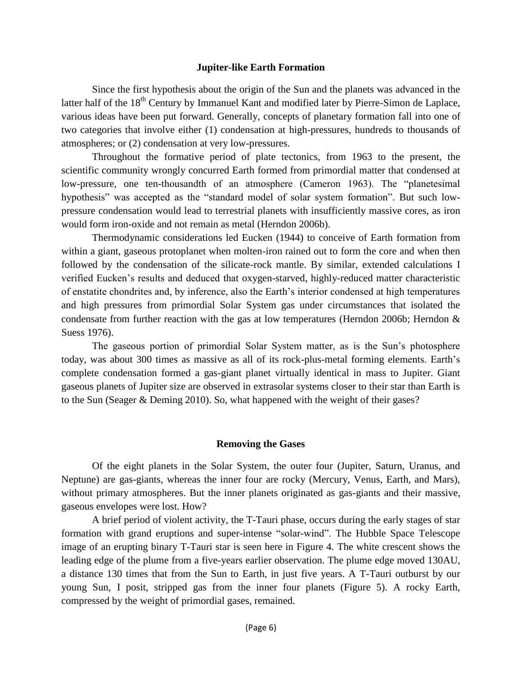### **Jupiter-like Earth Formation**

Since the first hypothesis about the origin of the Sun and the planets was advanced in the latter half of the 18<sup>th</sup> Century by Immanuel Kant and modified later by Pierre-Simon de Laplace, various ideas have been put forward. Generally, concepts of planetary formation fall into one of two categories that involve either (1) condensation at high-pressures, hundreds to thousands of atmospheres; or (2) condensation at very low-pressures.

Throughout the formative period of plate tectonics, from 1963 to the present, the scientific community wrongly concurred Earth formed from primordial matter that condensed at low-pressure, one ten-thousandth of an atmosphere (Cameron 1963). The "planetesimal hypothesis" was accepted as the "standard model of solar system formation". But such lowpressure condensation would lead to terrestrial planets with insufficiently massive cores, as iron would form iron-oxide and not remain as metal (Herndon 2006b).

Thermodynamic considerations led Eucken (1944) to conceive of Earth formation from within a giant, gaseous protoplanet when molten-iron rained out to form the core and when then followed by the condensation of the silicate-rock mantle. By similar, extended calculations I verified Eucken"s results and deduced that oxygen-starved, highly-reduced matter characteristic of enstatite chondrites and, by inference, also the Earth"s interior condensed at high temperatures and high pressures from primordial Solar System gas under circumstances that isolated the condensate from further reaction with the gas at low temperatures (Herndon 2006b; Herndon & Suess 1976).

The gaseous portion of primordial Solar System matter, as is the Sun"s photosphere today, was about 300 times as massive as all of its rock-plus-metal forming elements. Earth"s complete condensation formed a gas-giant planet virtually identical in mass to Jupiter. Giant gaseous planets of Jupiter size are observed in extrasolar systems closer to their star than Earth is to the Sun (Seager & Deming 2010). So, what happened with the weight of their gases?

### **Removing the Gases**

Of the eight planets in the Solar System, the outer four (Jupiter, Saturn, Uranus, and Neptune) are gas-giants, whereas the inner four are rocky (Mercury, Venus, Earth, and Mars), without primary atmospheres. But the inner planets originated as gas-giants and their massive, gaseous envelopes were lost. How?

A brief period of violent activity, the T-Tauri phase, occurs during the early stages of star formation with grand eruptions and super-intense "solar-wind". The Hubble Space Telescope image of an erupting binary T-Tauri star is seen here in Figure 4. The white crescent shows the leading edge of the plume from a five-years earlier observation. The plume edge moved 130AU, a distance 130 times that from the Sun to Earth, in just five years. A T-Tauri outburst by our young Sun, I posit, stripped gas from the inner four planets (Figure 5). A rocky Earth, compressed by the weight of primordial gases, remained.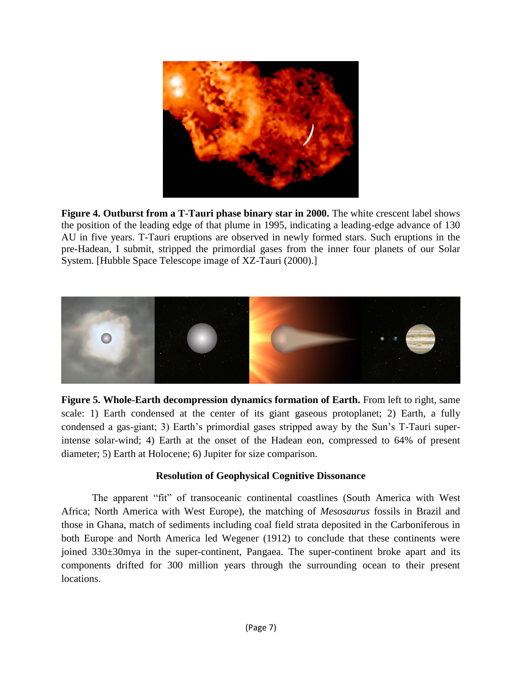

**Figure 4. Outburst from a T-Tauri phase binary star in 2000.** The white crescent label shows the position of the leading edge of that plume in 1995, indicating a leading-edge advance of 130 AU in five years. T-Tauri eruptions are observed in newly formed stars. Such eruptions in the pre-Hadean, I submit, stripped the primordial gases from the inner four planets of our Solar System. [Hubble Space Telescope image of XZ-Tauri (2000).]



**Figure 5. Whole-Earth decompression dynamics formation of Earth.** From left to right, same scale: 1) Earth condensed at the center of its giant gaseous protoplanet; 2) Earth, a fully condensed a gas-giant; 3) Earth's primordial gases stripped away by the Sun's T-Tauri superintense solar-wind; 4) Earth at the onset of the Hadean eon, compressed to 64% of present diameter; 5) Earth at Holocene; 6) Jupiter for size comparison.

# **Resolution of Geophysical Cognitive Dissonance**

The apparent "fit" of transoceanic continental coastlines (South America with West Africa; North America with West Europe), the matching of *Mesosaurus* fossils in Brazil and those in Ghana, match of sediments including coal field strata deposited in the Carboniferous in both Europe and North America led Wegener (1912) to conclude that these continents were joined 330±30mya in the super-continent, Pangaea. The super-continent broke apart and its components drifted for 300 million years through the surrounding ocean to their present locations.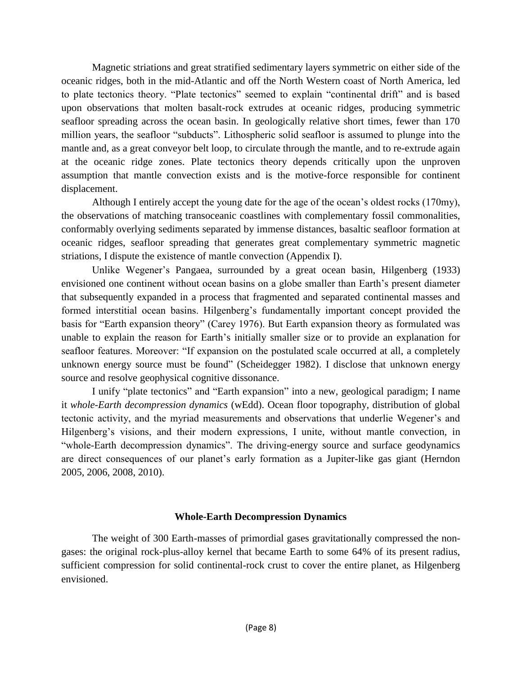Magnetic striations and great stratified sedimentary layers symmetric on either side of the oceanic ridges, both in the mid-Atlantic and off the North Western coast of North America, led to plate tectonics theory. "Plate tectonics" seemed to explain "continental drift" and is based upon observations that molten basalt-rock extrudes at oceanic ridges, producing symmetric seafloor spreading across the ocean basin. In geologically relative short times, fewer than 170 million years, the seafloor "subducts". Lithospheric solid seafloor is assumed to plunge into the mantle and, as a great conveyor belt loop, to circulate through the mantle, and to re-extrude again at the oceanic ridge zones. Plate tectonics theory depends critically upon the unproven assumption that mantle convection exists and is the motive-force responsible for continent displacement.

Although I entirely accept the young date for the age of the ocean"s oldest rocks (170my), the observations of matching transoceanic coastlines with complementary fossil commonalities, conformably overlying sediments separated by immense distances, basaltic seafloor formation at oceanic ridges, seafloor spreading that generates great complementary symmetric magnetic striations, I dispute the existence of mantle convection (Appendix I).

Unlike Wegener"s Pangaea, surrounded by a great ocean basin, Hilgenberg (1933) envisioned one continent without ocean basins on a globe smaller than Earth"s present diameter that subsequently expanded in a process that fragmented and separated continental masses and formed interstitial ocean basins. Hilgenberg's fundamentally important concept provided the basis for "Earth expansion theory" (Carey 1976). But Earth expansion theory as formulated was unable to explain the reason for Earth's initially smaller size or to provide an explanation for seafloor features. Moreover: "If expansion on the postulated scale occurred at all, a completely unknown energy source must be found" (Scheidegger 1982). I disclose that unknown energy source and resolve geophysical cognitive dissonance.

I unify "plate tectonics" and "Earth expansion" into a new, geological paradigm; I name it *whole-Earth decompression dynamics* (wEdd). Ocean floor topography, distribution of global tectonic activity, and the myriad measurements and observations that underlie Wegener"s and Hilgenberg's visions, and their modern expressions, I unite, without mantle convection, in "whole-Earth decompression dynamics". The driving-energy source and surface geodynamics are direct consequences of our planet's early formation as a Jupiter-like gas giant (Herndon 2005, 2006, 2008, 2010).

# **Whole-Earth Decompression Dynamics**

The weight of 300 Earth-masses of primordial gases gravitationally compressed the nongases: the original rock-plus-alloy kernel that became Earth to some 64% of its present radius, sufficient compression for solid continental-rock crust to cover the entire planet, as Hilgenberg envisioned.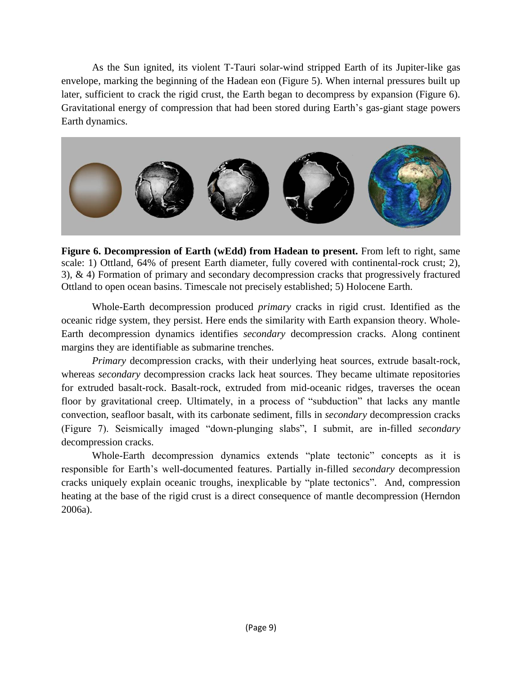As the Sun ignited, its violent T-Tauri solar-wind stripped Earth of its Jupiter-like gas envelope, marking the beginning of the Hadean eon (Figure 5). When internal pressures built up later, sufficient to crack the rigid crust, the Earth began to decompress by expansion (Figure 6). Gravitational energy of compression that had been stored during Earth"s gas-giant stage powers Earth dynamics.



**Figure 6. Decompression of Earth (wEdd) from Hadean to present.** From left to right, same scale: 1) Ottland, 64% of present Earth diameter, fully covered with continental-rock crust; 2), 3), & 4) Formation of primary and secondary decompression cracks that progressively fractured Ottland to open ocean basins. Timescale not precisely established; 5) Holocene Earth.

Whole-Earth decompression produced *primary* cracks in rigid crust. Identified as the oceanic ridge system, they persist. Here ends the similarity with Earth expansion theory. Whole-Earth decompression dynamics identifies *secondary* decompression cracks. Along continent margins they are identifiable as submarine trenches.

*Primary* decompression cracks, with their underlying heat sources, extrude basalt-rock, whereas *secondary* decompression cracks lack heat sources. They became ultimate repositories for extruded basalt-rock. Basalt-rock, extruded from mid-oceanic ridges, traverses the ocean floor by gravitational creep. Ultimately, in a process of "subduction" that lacks any mantle convection, seafloor basalt, with its carbonate sediment, fills in *secondary* decompression cracks (Figure 7). Seismically imaged "down-plunging slabs", I submit, are in-filled *secondary* decompression cracks.

Whole-Earth decompression dynamics extends "plate tectonic" concepts as it is responsible for Earth"s well-documented features. Partially in-filled *secondary* decompression cracks uniquely explain oceanic troughs, inexplicable by "plate tectonics". And, compression heating at the base of the rigid crust is a direct consequence of mantle decompression (Herndon 2006a).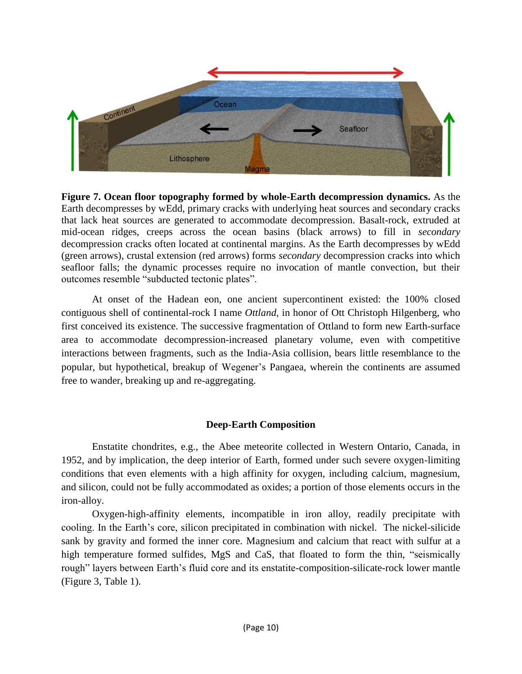

**Figure 7. Ocean floor topography formed by whole-Earth decompression dynamics.** As the Earth decompresses by wEdd, primary cracks with underlying heat sources and secondary cracks that lack heat sources are generated to accommodate decompression. Basalt-rock, extruded at mid-ocean ridges, creeps across the ocean basins (black arrows) to fill in *secondary* decompression cracks often located at continental margins. As the Earth decompresses by wEdd (green arrows), crustal extension (red arrows) forms *secondary* decompression cracks into which seafloor falls; the dynamic processes require no invocation of mantle convection, but their outcomes resemble "subducted tectonic plates".

At onset of the Hadean eon, one ancient supercontinent existed: the 100% closed contiguous shell of continental-rock I name *Ottland*, in honor of Ott Christoph Hilgenberg, who first conceived its existence. The successive fragmentation of Ottland to form new Earth-surface area to accommodate decompression-increased planetary volume, even with competitive interactions between fragments, such as the India-Asia collision, bears little resemblance to the popular, but hypothetical, breakup of Wegener"s Pangaea, wherein the continents are assumed free to wander, breaking up and re-aggregating.

# **Deep-Earth Composition**

Enstatite chondrites, e.g., the Abee meteorite collected in Western Ontario, Canada, in 1952, and by implication, the deep interior of Earth, formed under such severe oxygen-limiting conditions that even elements with a high affinity for oxygen, including calcium, magnesium, and silicon, could not be fully accommodated as oxides; a portion of those elements occurs in the iron-alloy.

Oxygen-high-affinity elements, incompatible in iron alloy, readily precipitate with cooling. In the Earth"s core, silicon precipitated in combination with nickel. The nickel-silicide sank by gravity and formed the inner core. Magnesium and calcium that react with sulfur at a high temperature formed sulfides, MgS and CaS, that floated to form the thin, "seismically rough" layers between Earth"s fluid core and its enstatite-composition-silicate-rock lower mantle (Figure 3, Table 1).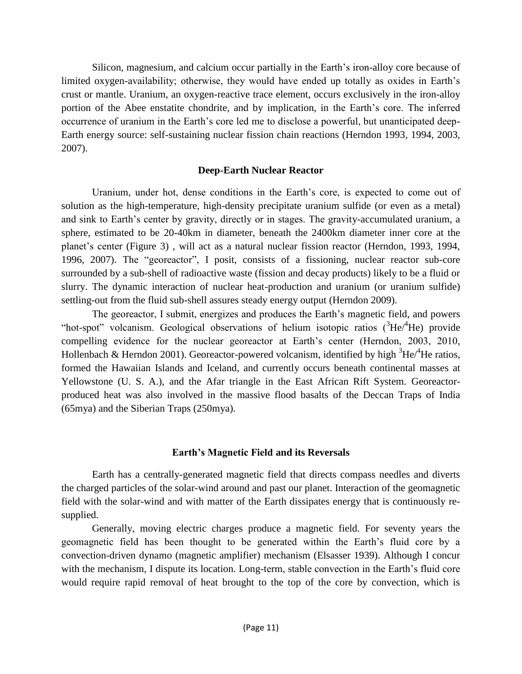Silicon, magnesium, and calcium occur partially in the Earth's iron-alloy core because of limited oxygen-availability; otherwise, they would have ended up totally as oxides in Earth's crust or mantle. Uranium, an oxygen-reactive trace element, occurs exclusively in the iron-alloy portion of the Abee enstatite chondrite, and by implication, in the Earth's core. The inferred occurrence of uranium in the Earth's core led me to disclose a powerful, but unanticipated deep-Earth energy source: self-sustaining nuclear fission chain reactions (Herndon 1993, 1994, 2003, 2007).

## **Deep-Earth Nuclear Reactor**

Uranium, under hot, dense conditions in the Earth"s core, is expected to come out of solution as the high-temperature, high-density precipitate uranium sulfide (or even as a metal) and sink to Earth's center by gravity, directly or in stages. The gravity-accumulated uranium, a sphere, estimated to be 20-40km in diameter, beneath the 2400km diameter inner core at the planet"s center (Figure 3) , will act as a natural nuclear fission reactor (Herndon, 1993, 1994, 1996, 2007). The "georeactor", I posit, consists of a fissioning, nuclear reactor sub-core surrounded by a sub-shell of radioactive waste (fission and decay products) likely to be a fluid or slurry. The dynamic interaction of nuclear heat-production and uranium (or uranium sulfide) settling-out from the fluid sub-shell assures steady energy output (Herndon 2009).

The georeactor, I submit, energizes and produces the Earth"s magnetic field, and powers "hot-spot" volcanism. Geological observations of helium isotopic ratios  $({}^{3}He/{}^{4}He)$  provide compelling evidence for the nuclear georeactor at Earth"s center (Herndon, 2003, 2010, Hollenbach & Herndon 2001). Georeactor-powered volcanism, identified by high  ${}^{3}$ He/ ${}^{4}$ He ratios, formed the Hawaiian Islands and Iceland, and currently occurs beneath continental masses at Yellowstone (U. S. A.), and the Afar triangle in the East African Rift System. Georeactorproduced heat was also involved in the massive flood basalts of the Deccan Traps of India (65mya) and the Siberian Traps (250mya).

## **Earth's Magnetic Field and its Reversals**

Earth has a centrally-generated magnetic field that directs compass needles and diverts the charged particles of the solar-wind around and past our planet. Interaction of the geomagnetic field with the solar-wind and with matter of the Earth dissipates energy that is continuously resupplied.

Generally, moving electric charges produce a magnetic field. For seventy years the geomagnetic field has been thought to be generated within the Earth"s fluid core by a convection-driven dynamo (magnetic amplifier) mechanism (Elsasser 1939). Although I concur with the mechanism, I dispute its location. Long-term, stable convection in the Earth's fluid core would require rapid removal of heat brought to the top of the core by convection, which is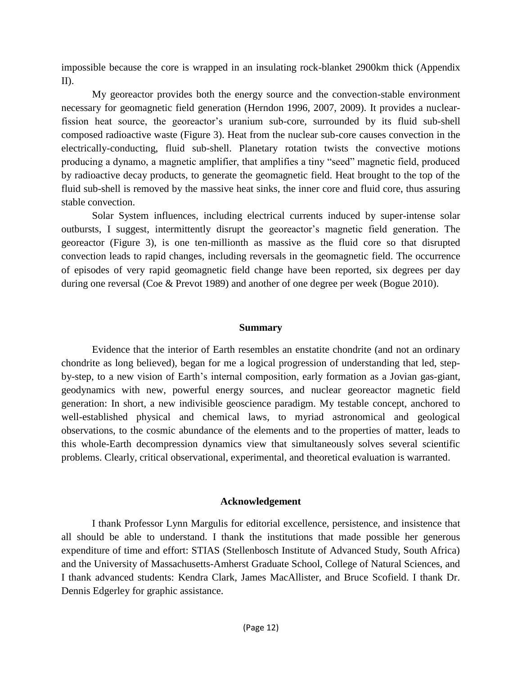impossible because the core is wrapped in an insulating rock-blanket 2900km thick (Appendix II).

My georeactor provides both the energy source and the convection-stable environment necessary for geomagnetic field generation (Herndon 1996, 2007, 2009). It provides a nuclearfission heat source, the georeactor's uranium sub-core, surrounded by its fluid sub-shell composed radioactive waste (Figure 3). Heat from the nuclear sub-core causes convection in the electrically-conducting, fluid sub-shell. Planetary rotation twists the convective motions producing a dynamo, a magnetic amplifier, that amplifies a tiny "seed" magnetic field, produced by radioactive decay products, to generate the geomagnetic field. Heat brought to the top of the fluid sub-shell is removed by the massive heat sinks, the inner core and fluid core, thus assuring stable convection.

Solar System influences, including electrical currents induced by super-intense solar outbursts, I suggest, intermittently disrupt the georeactor"s magnetic field generation. The georeactor (Figure 3), is one ten-millionth as massive as the fluid core so that disrupted convection leads to rapid changes, including reversals in the geomagnetic field. The occurrence of episodes of very rapid geomagnetic field change have been reported, six degrees per day during one reversal (Coe & Prevot 1989) and another of one degree per week (Bogue 2010).

### **Summary**

Evidence that the interior of Earth resembles an enstatite chondrite (and not an ordinary chondrite as long believed), began for me a logical progression of understanding that led, stepby-step, to a new vision of Earth"s internal composition, early formation as a Jovian gas-giant, geodynamics with new, powerful energy sources, and nuclear georeactor magnetic field generation: In short, a new indivisible geoscience paradigm. My testable concept, anchored to well-established physical and chemical laws, to myriad astronomical and geological observations, to the cosmic abundance of the elements and to the properties of matter, leads to this whole-Earth decompression dynamics view that simultaneously solves several scientific problems. Clearly, critical observational, experimental, and theoretical evaluation is warranted.

## **Acknowledgement**

I thank Professor Lynn Margulis for editorial excellence, persistence, and insistence that all should be able to understand. I thank the institutions that made possible her generous expenditure of time and effort: STIAS (Stellenbosch Institute of Advanced Study, South Africa) and the University of Massachusetts-Amherst Graduate School, College of Natural Sciences, and I thank advanced students: Kendra Clark, James MacAllister, and Bruce Scofield. I thank Dr. Dennis Edgerley for graphic assistance.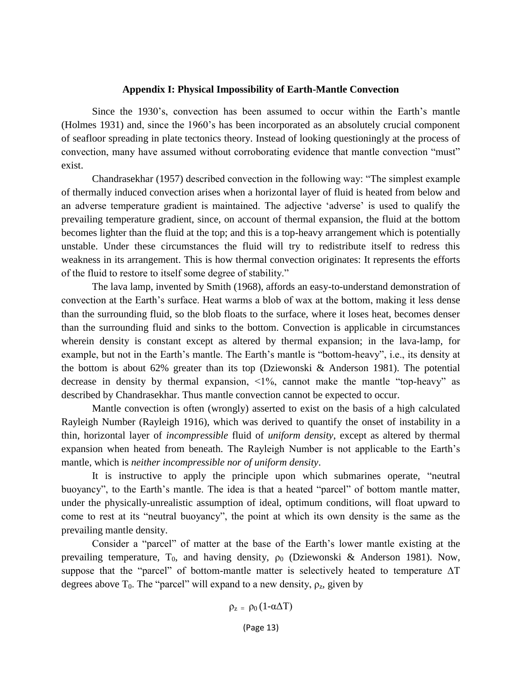### **Appendix I: Physical Impossibility of Earth-Mantle Convection**

Since the 1930"s, convection has been assumed to occur within the Earth"s mantle (Holmes 1931) and, since the 1960"s has been incorporated as an absolutely crucial component of seafloor spreading in plate tectonics theory. Instead of looking questioningly at the process of convection, many have assumed without corroborating evidence that mantle convection "must" exist.

Chandrasekhar (1957) described convection in the following way: "The simplest example of thermally induced convection arises when a horizontal layer of fluid is heated from below and an adverse temperature gradient is maintained. The adjective "adverse" is used to qualify the prevailing temperature gradient, since, on account of thermal expansion, the fluid at the bottom becomes lighter than the fluid at the top; and this is a top-heavy arrangement which is potentially unstable. Under these circumstances the fluid will try to redistribute itself to redress this weakness in its arrangement. This is how thermal convection originates: It represents the efforts of the fluid to restore to itself some degree of stability."

The lava lamp, invented by Smith (1968), affords an easy-to-understand demonstration of convection at the Earth"s surface. Heat warms a blob of wax at the bottom, making it less dense than the surrounding fluid, so the blob floats to the surface, where it loses heat, becomes denser than the surrounding fluid and sinks to the bottom. Convection is applicable in circumstances wherein density is constant except as altered by thermal expansion; in the lava-lamp, for example, but not in the Earth's mantle. The Earth's mantle is "bottom-heavy", i.e., its density at the bottom is about 62% greater than its top (Dziewonski & Anderson 1981). The potential decrease in density by thermal expansion, <1%, cannot make the mantle "top-heavy" as described by Chandrasekhar. Thus mantle convection cannot be expected to occur.

Mantle convection is often (wrongly) asserted to exist on the basis of a high calculated Rayleigh Number (Rayleigh 1916), which was derived to quantify the onset of instability in a thin, horizontal layer of *incompressible* fluid of *uniform density*, except as altered by thermal expansion when heated from beneath. The Rayleigh Number is not applicable to the Earth"s mantle, which is *neither incompressible nor of uniform density*.

It is instructive to apply the principle upon which submarines operate, "neutral buoyancy", to the Earth's mantle. The idea is that a heated "parcel" of bottom mantle matter, under the physically-unrealistic assumption of ideal, optimum conditions, will float upward to come to rest at its "neutral buoyancy", the point at which its own density is the same as the prevailing mantle density.

Consider a "parcel" of matter at the base of the Earth"s lower mantle existing at the prevailing temperature, T<sub>0</sub>, and having density,  $\rho_0$  (Dziewonski & Anderson 1981). Now, suppose that the "parcel" of bottom-mantle matter is selectively heated to temperature ΔT degrees above T<sub>0</sub>. The "parcel" will expand to a new density,  $\rho_z$ , given by

$$
\rho_z\;=\;\rho_0\left(1\text{-}\alpha\Delta T\right)
$$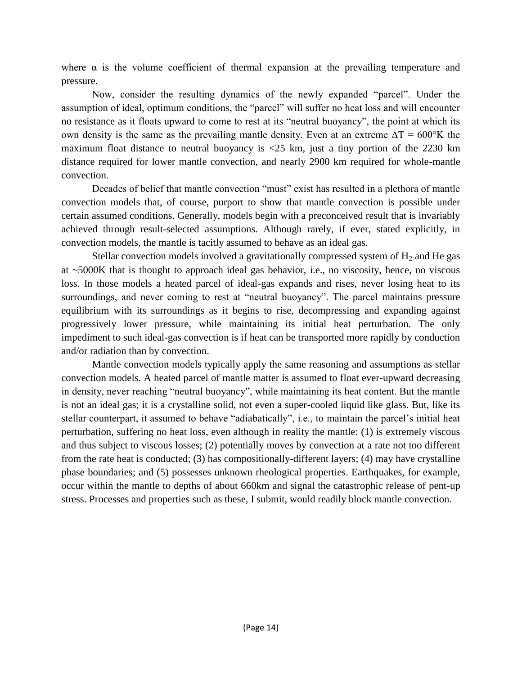where  $\alpha$  is the volume coefficient of thermal expansion at the prevailing temperature and pressure.

Now, consider the resulting dynamics of the newly expanded "parcel". Under the assumption of ideal, optimum conditions, the "parcel" will suffer no heat loss and will encounter no resistance as it floats upward to come to rest at its "neutral buoyancy", the point at which its own density is the same as the prevailing mantle density. Even at an extreme  $\Delta T = 600^{\circ}$ K the maximum float distance to neutral buoyancy is <25 km, just a tiny portion of the 2230 km distance required for lower mantle convection, and nearly 2900 km required for whole-mantle convection.

Decades of belief that mantle convection "must" exist has resulted in a plethora of mantle convection models that, of course, purport to show that mantle convection is possible under certain assumed conditions. Generally, models begin with a preconceived result that is invariably achieved through result-selected assumptions. Although rarely, if ever, stated explicitly, in convection models, the mantle is tacitly assumed to behave as an ideal gas.

Stellar convection models involved a gravitationally compressed system of  $H_2$  and He gas at ~5000K that is thought to approach ideal gas behavior, i.e., no viscosity, hence, no viscous loss. In those models a heated parcel of ideal-gas expands and rises, never losing heat to its surroundings, and never coming to rest at "neutral buoyancy". The parcel maintains pressure equilibrium with its surroundings as it begins to rise, decompressing and expanding against progressively lower pressure, while maintaining its initial heat perturbation. The only impediment to such ideal-gas convection is if heat can be transported more rapidly by conduction and/or radiation than by convection.

Mantle convection models typically apply the same reasoning and assumptions as stellar convection models. A heated parcel of mantle matter is assumed to float ever-upward decreasing in density, never reaching "neutral buoyancy", while maintaining its heat content. But the mantle is not an ideal gas; it is a crystalline solid, not even a super-cooled liquid like glass. But, like its stellar counterpart, it assumed to behave "adiabatically", i.e., to maintain the parcel's initial heat perturbation, suffering no heat loss, even although in reality the mantle: (1) is extremely viscous and thus subject to viscous losses; (2) potentially moves by convection at a rate not too different from the rate heat is conducted; (3) has compositionally-different layers; (4) may have crystalline phase boundaries; and (5) possesses unknown rheological properties. Earthquakes, for example, occur within the mantle to depths of about 660km and signal the catastrophic release of pent-up stress. Processes and properties such as these, I submit, would readily block mantle convection.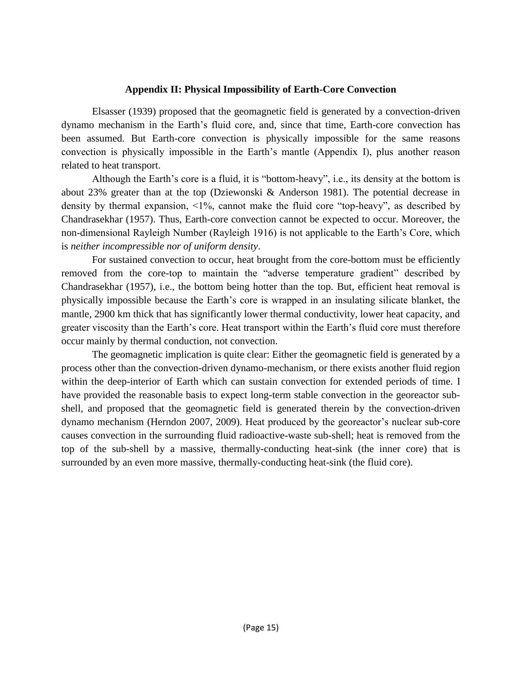## **Appendix II: Physical Impossibility of Earth-Core Convection**

Elsasser (1939) proposed that the geomagnetic field is generated by a convection-driven dynamo mechanism in the Earth"s fluid core, and, since that time, Earth-core convection has been assumed. But Earth-core convection is physically impossible for the same reasons convection is physically impossible in the Earth"s mantle (Appendix I), plus another reason related to heat transport.

Although the Earth"s core is a fluid, it is "bottom-heavy", i.e., its density at the bottom is about 23% greater than at the top (Dziewonski & Anderson 1981). The potential decrease in density by thermal expansion, <1%, cannot make the fluid core "top-heavy", as described by Chandrasekhar (1957). Thus, Earth-core convection cannot be expected to occur. Moreover, the non-dimensional Rayleigh Number (Rayleigh 1916) is not applicable to the Earth"s Core, which is *neither incompressible nor of uniform density*.

For sustained convection to occur, heat brought from the core-bottom must be efficiently removed from the core-top to maintain the "adverse temperature gradient" described by Chandrasekhar (1957), i.e., the bottom being hotter than the top. But, efficient heat removal is physically impossible because the Earth"s core is wrapped in an insulating silicate blanket, the mantle, 2900 km thick that has significantly lower thermal conductivity, lower heat capacity, and greater viscosity than the Earth's core. Heat transport within the Earth's fluid core must therefore occur mainly by thermal conduction, not convection.

The geomagnetic implication is quite clear: Either the geomagnetic field is generated by a process other than the convection-driven dynamo-mechanism, or there exists another fluid region within the deep-interior of Earth which can sustain convection for extended periods of time. I have provided the reasonable basis to expect long-term stable convection in the georeactor subshell, and proposed that the geomagnetic field is generated therein by the convection-driven dynamo mechanism (Herndon 2007, 2009). Heat produced by the georeactor"s nuclear sub-core causes convection in the surrounding fluid radioactive-waste sub-shell; heat is removed from the top of the sub-shell by a massive, thermally-conducting heat-sink (the inner core) that is surrounded by an even more massive, thermally-conducting heat-sink (the fluid core).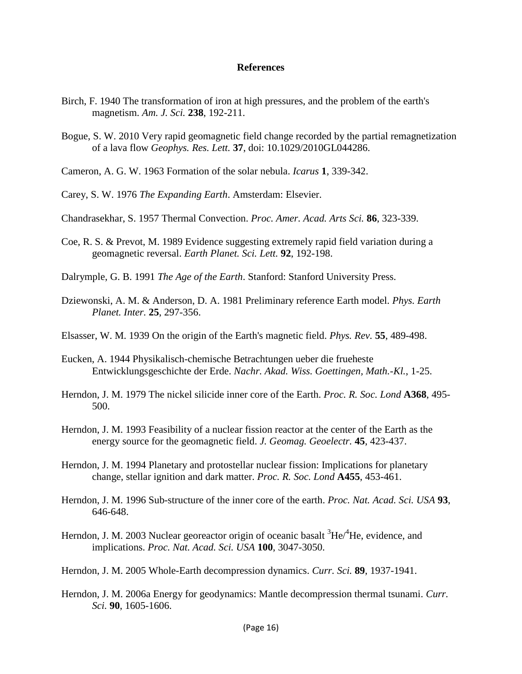### **References**

- Birch, F. 1940 The transformation of iron at high pressures, and the problem of the earth's magnetism. *Am. J. Sci.* **238**, 192-211.
- Bogue, S. W. 2010 Very rapid geomagnetic field change recorded by the partial remagnetization of a lava flow *Geophys. Res. Lett.* **37**, doi: 10.1029/2010GL044286.
- Cameron, A. G. W. 1963 Formation of the solar nebula. *Icarus* **1**, 339-342.
- Carey, S. W. 1976 *The Expanding Earth*. Amsterdam: Elsevier.
- Chandrasekhar, S. 1957 Thermal Convection. *Proc. Amer. Acad. Arts Sci.* **86**, 323-339.
- Coe, R. S. & Prevot, M. 1989 Evidence suggesting extremely rapid field variation during a geomagnetic reversal. *Earth Planet. Sci. Lett.* **92**, 192-198.
- Dalrymple, G. B. 1991 *The Age of the Earth*. Stanford: Stanford University Press.
- Dziewonski, A. M. & Anderson, D. A. 1981 Preliminary reference Earth model. *Phys. Earth Planet. Inter.* **25**, 297-356.
- Elsasser, W. M. 1939 On the origin of the Earth's magnetic field. *Phys. Rev.* **55**, 489-498.
- Eucken, A. 1944 Physikalisch-chemische Betrachtungen ueber die frueheste Entwicklungsgeschichte der Erde. *Nachr. Akad. Wiss. Goettingen, Math.-Kl.*, 1-25.
- Herndon, J. M. 1979 The nickel silicide inner core of the Earth. *Proc. R. Soc. Lond* **A368**, 495- 500.
- Herndon, J. M. 1993 Feasibility of a nuclear fission reactor at the center of the Earth as the energy source for the geomagnetic field. *J. Geomag. Geoelectr.* **45**, 423-437.
- Herndon, J. M. 1994 Planetary and protostellar nuclear fission: Implications for planetary change, stellar ignition and dark matter. *Proc. R. Soc. Lond* **A455**, 453-461.
- Herndon, J. M. 1996 Sub-structure of the inner core of the earth. *Proc. Nat. Acad. Sci. USA* **93**, 646-648.
- Herndon, J. M. 2003 Nuclear georeactor origin of oceanic basalt  ${}^{3}He/{}^{4}He$ , evidence, and implications. *Proc. Nat. Acad. Sci. USA* **100**, 3047-3050.
- Herndon, J. M. 2005 Whole-Earth decompression dynamics. *Curr. Sci.* **89**, 1937-1941.
- Herndon, J. M. 2006a Energy for geodynamics: Mantle decompression thermal tsunami. *Curr. Sci.* **90**, 1605-1606.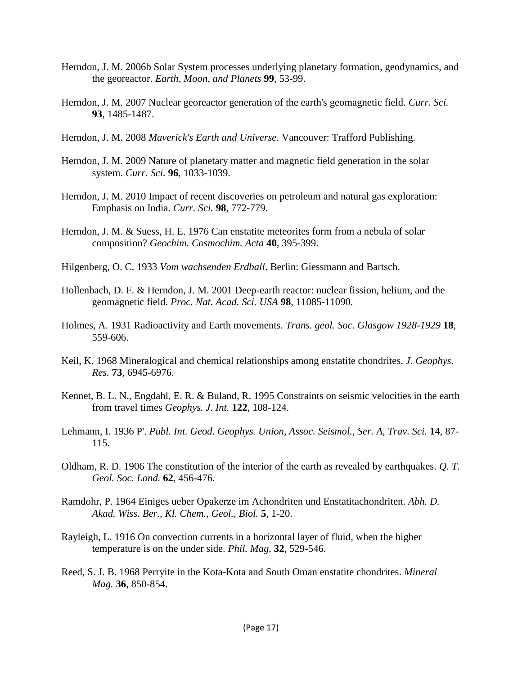- Herndon, J. M. 2006b Solar System processes underlying planetary formation, geodynamics, and the georeactor. *Earth, Moon, and Planets* **99**, 53-99.
- Herndon, J. M. 2007 Nuclear georeactor generation of the earth's geomagnetic field. *Curr. Sci.* **93**, 1485-1487.
- Herndon, J. M. 2008 *Maverick's Earth and Universe*. Vancouver: Trafford Publishing.
- Herndon, J. M. 2009 Nature of planetary matter and magnetic field generation in the solar system. *Curr. Sci.* **96**, 1033-1039.
- Herndon, J. M. 2010 Impact of recent discoveries on petroleum and natural gas exploration: Emphasis on India. *Curr. Sci.* **98**, 772-779.
- Herndon, J. M. & Suess, H. E. 1976 Can enstatite meteorites form from a nebula of solar composition? *Geochim. Cosmochim. Acta* **40**, 395-399.
- Hilgenberg, O. C. 1933 *Vom wachsenden Erdball*. Berlin: Giessmann and Bartsch.
- Hollenbach, D. F. & Herndon, J. M. 2001 Deep-earth reactor: nuclear fission, helium, and the geomagnetic field. *Proc. Nat. Acad. Sci. USA* **98**, 11085-11090.
- Holmes, A. 1931 Radioactivity and Earth movements. *Trans. geol. Soc. Glasgow 1928-1929* **18**, 559-606.
- Keil, K. 1968 Mineralogical and chemical relationships among enstatite chondrites. *J. Geophys. Res.* **73**, 6945-6976.
- Kennet, B. L. N., Engdahl, E. R. & Buland, R. 1995 Constraints on seismic velocities in the earth from travel times *Geophys. J. Int.* **122**, 108-124.
- Lehmann, I. 1936 P'. *Publ. Int. Geod. Geophys. Union, Assoc. Seismol., Ser. A, Trav. Sci.* **14**, 87- 115.
- Oldham, R. D. 1906 The constitution of the interior of the earth as revealed by earthquakes. *Q. T. Geol. Soc. Lond.* **62**, 456-476.
- Ramdohr, P. 1964 Einiges ueber Opakerze im Achondriten und Enstatitachondriten. *Abh. D. Akad. Wiss. Ber., Kl. Chem., Geol., Biol.* **5**, 1-20.
- Rayleigh, L. 1916 On convection currents in a horizontal layer of fluid, when the higher temperature is on the under side. *Phil. Mag.* **32**, 529-546.
- Reed, S. J. B. 1968 Perryite in the Kota-Kota and South Oman enstatite chondrites. *Mineral Mag.* **36**, 850-854.